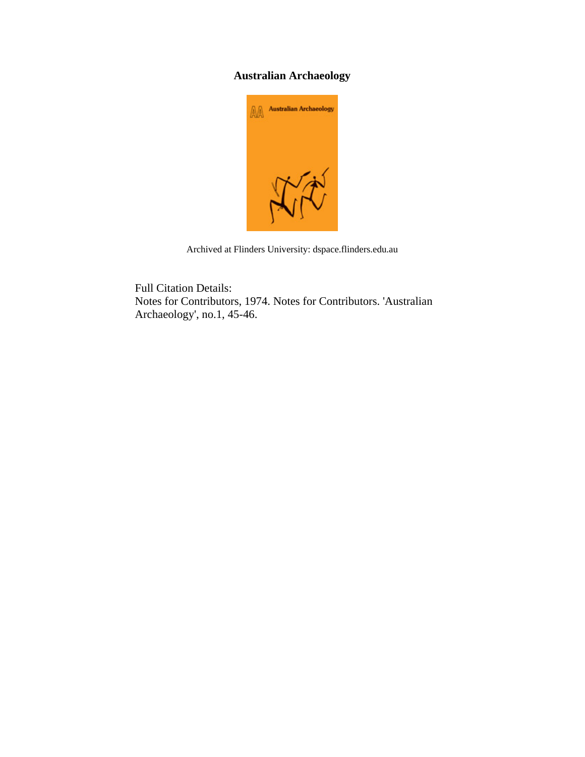## **Australian Archaeology**



Archived at Flinders University: dspace.flinders.edu.au

Full Citation Details: Notes for Contributors, 1974. Notes for Contributors. 'Australian Archaeology', no.1, 45-46.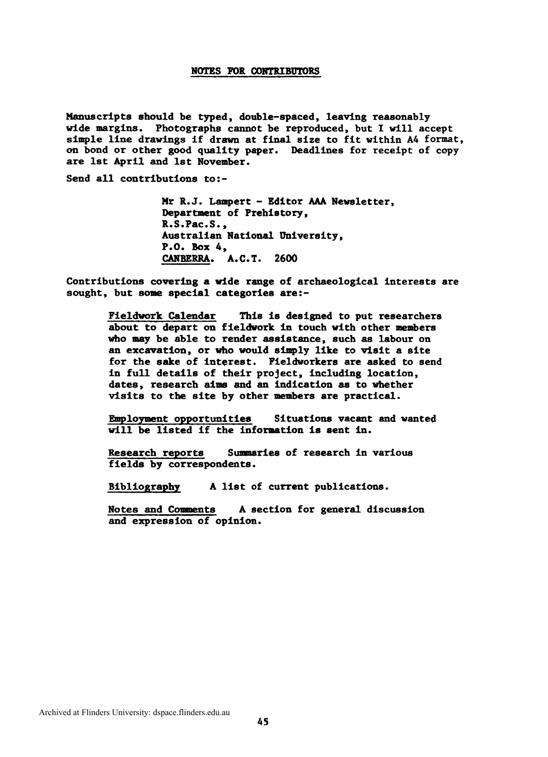## **NOTES FOR CONTRIBUTORS**

Manuscripts should be typed, double-spaced, leaving reasonably wide margins, Photographs cannot be reproduced, but I will accept simple line drawings if drawn at final size to fit within A4 format, on bond or other good quality paper. Deadlines for receipt of copy are 1st April and 1st November.

Send all contributions to:-

Mr R.J. Lampert - Editor **AM** Newsletter, Department of Prehistory, R.S.Pac.S., Australian National University, **P.O. Box 4, CANBERRA, A.C.T. 2600** 

Contributions covering a wide range of archaeological interests are sought, but some special categories are:-

> Fieldwork Calendar This is designed to put researchers about **to** depart on fieldwork in touch with other members who **may** be able to render assistance, such as labour on an excavation, or who would simply like to visit a site for the sake of interest. Fieldworkers are asked to **send**  in full details of their project, including location, dates, research aims and an indication as to whether visits to the site by other members are practical.

Employment opportunities Situations vacant and wanted will be listed if the information is sent in.

Research reports Summaries of research in various fields by correspondents.

Bibliography A list of current publications.

Notes and Comments A section for general discussion and expression of opinion.